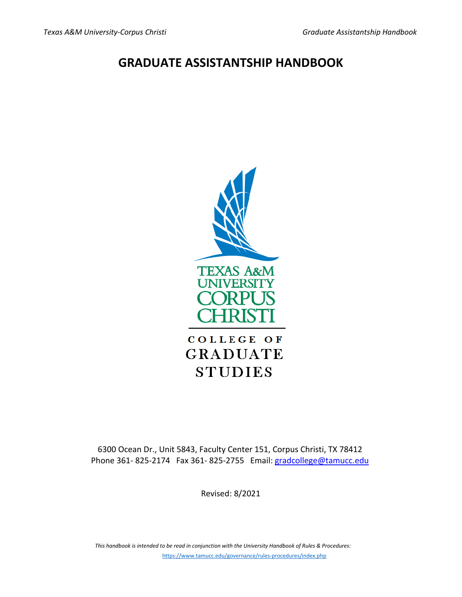# **GRADUATE ASSISTANTSHIP HANDBOOK**



6300 Ocean Dr., Unit 5843, Faculty Center 151, Corpus Christi, TX 78412 Phone 361-825-2174 Fax 361-825-2755 Email: gradcollege@tamucc.edu

Revised: 8/2021

*This handbook is intended to be read in conjunction with the University Handbook of Rules & Procedures:*  <https://www.tamucc.edu/governance/rules-procedures/index.php>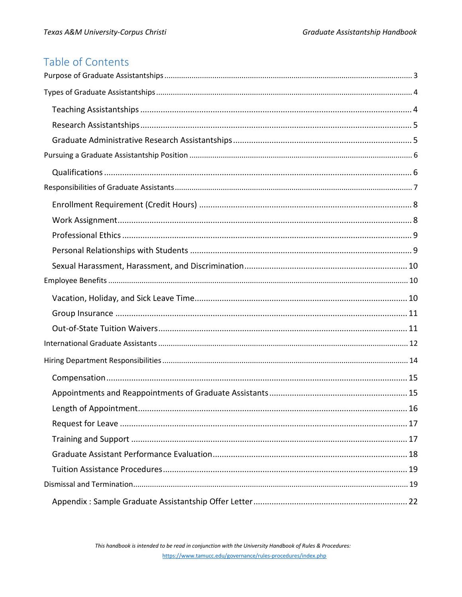# Table of Contents

| 16 |  |
|----|--|
|    |  |
|    |  |
|    |  |
|    |  |
|    |  |
|    |  |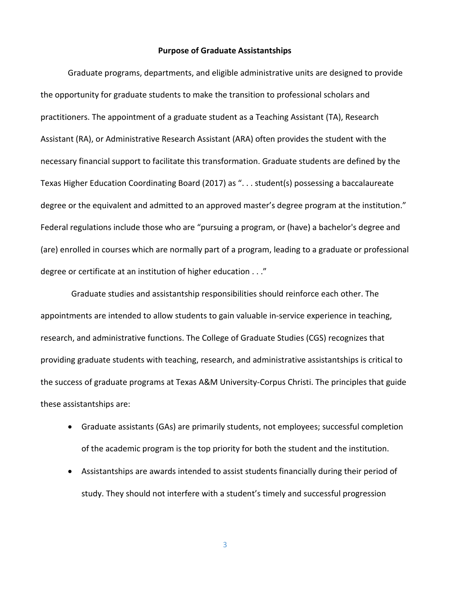## **Purpose of Graduate Assistantships**

<span id="page-2-0"></span>Graduate programs, departments, and eligible administrative units are designed to provide the opportunity for graduate students to make the transition to professional scholars and practitioners. The appointment of a graduate student as a Teaching Assistant (TA), Research Assistant (RA), or Administrative Research Assistant (ARA) often provides the student with the necessary financial support to facilitate this transformation. Graduate students are defined by the Texas Higher Education Coordinating Board (2017) as ". . . student(s) possessing a baccalaureate degree or the equivalent and admitted to an approved master's degree program at the institution." Federal regulations include those who are "pursuing a program, or (have) a bachelor's degree and (are) enrolled in courses which are normally part of a program, leading to a graduate or professional degree or certificate at an institution of higher education . . ."

Graduate studies and assistantship responsibilities should reinforce each other. The appointments are intended to allow students to gain valuable in-service experience in teaching, research, and administrative functions. The College of Graduate Studies (CGS) recognizes that providing graduate students with teaching, research, and administrative assistantships is critical to the success of graduate programs at Texas A&M University-Corpus Christi. The principles that guide these assistantships are:

- Graduate assistants (GAs) are primarily students, not employees; successful completion of the academic program is the top priority for both the student and the institution.
- Assistantships are awards intended to assist students financially during their period of study. They should not interfere with a student's timely and successful progression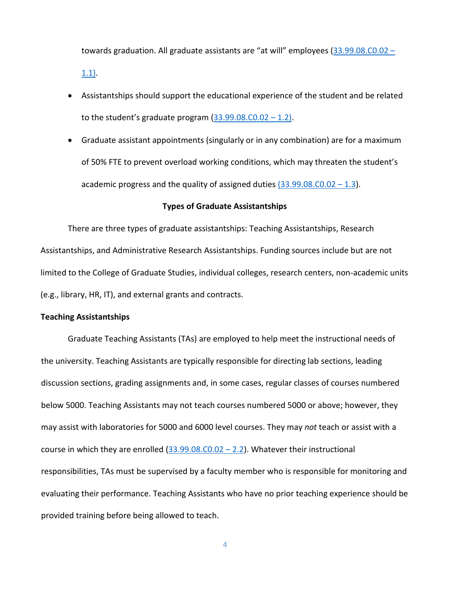towards graduation. All graduate assistants are "at will" employees [\(33.99.08.C0.02 –](https://www.tamucc.edu/governance/rules-procedures/assets/33.99.08.c0.02-graduate-assistants.pdf)

[1.1\).](https://www.tamucc.edu/governance/rules-procedures/assets/33.99.08.c0.02-graduate-assistants.pdf)

- Assistantships should support the educational experience of the student and be related to the student's graduate program  $(33.99.08.C0.02 - 1.2)$ .
- Graduate assistant appointments (singularly or in any combination) are for a maximum of 50% FTE to prevent overload working conditions, which may threaten the student's academic progress and the quality of assigned duties  $(33.99.08.C0.02 - 1.3)$ .

#### **Types of Graduate Assistantships**

<span id="page-3-0"></span>There are three types of graduate assistantships: Teaching Assistantships, Research Assistantships, and Administrative Research Assistantships. Funding sources include but are not limited to the College of Graduate Studies, individual colleges, research centers, non-academic units (e.g., library, HR, IT), and external grants and contracts.

#### <span id="page-3-1"></span>**Teaching Assistantships**

Graduate Teaching Assistants (TAs) are employed to help meet the instructional needs of the university. Teaching Assistants are typically responsible for directing lab sections, leading discussion sections, grading assignments and, in some cases, regular classes of courses numbered below 5000. Teaching Assistants may not teach courses numbered 5000 or above; however, they may assist with laboratories for 5000 and 6000 level courses. They may *not* teach or assist with a course in which they are enrolled  $(33.99.08.C0.02 - 2.2)$ . Whatever their instructional responsibilities, TAs must be supervised by a faculty member who is responsible for monitoring and evaluating their performance. Teaching Assistants who have no prior teaching experience should be provided training before being allowed to teach.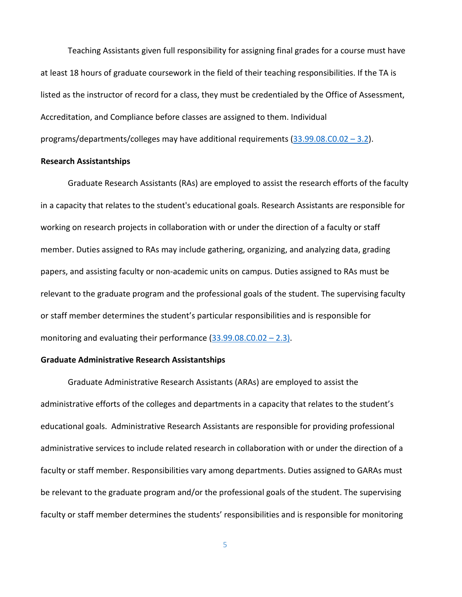Teaching Assistants given full responsibility for assigning final grades for a course must have at least 18 hours of graduate coursework in the field of their teaching responsibilities. If the TA is listed as the instructor of record for a class, they must be credentialed by the Office of Assessment, Accreditation, and Compliance before classes are assigned to them. Individual programs/departments/colleges may have additional requirements [\(33.99.08.C0.02 –](https://www.tamucc.edu/governance/rules-procedures/assets/33.99.08.c0.02-graduate-assistants.pdf) 3.2).

## <span id="page-4-0"></span>**Research Assistantships**

Graduate Research Assistants (RAs) are employed to assist the research efforts of the faculty in a capacity that relates to the student's educational goals. Research Assistants are responsible for working on research projects in collaboration with or under the direction of a faculty or staff member. Duties assigned to RAs may include gathering, organizing, and analyzing data, grading papers, and assisting faculty or non-academic units on campus. Duties assigned to RAs must be relevant to the graduate program and the professional goals of the student. The supervising faculty or staff member determines the student's particular responsibilities and is responsible for monitoring and evaluating their performance  $(33.99.08.C0.02 - 2.3)$ .

## <span id="page-4-1"></span>**Graduate Administrative Research Assistantships**

Graduate Administrative Research Assistants (ARAs) are employed to assist the administrative efforts of the colleges and departments in a capacity that relates to the student's educational goals. Administrative Research Assistants are responsible for providing professional administrative services to include related research in collaboration with or under the direction of a faculty or staff member. Responsibilities vary among departments. Duties assigned to GARAs must be relevant to the graduate program and/or the professional goals of the student. The supervising faculty or staff member determines the students' responsibilities and is responsible for monitoring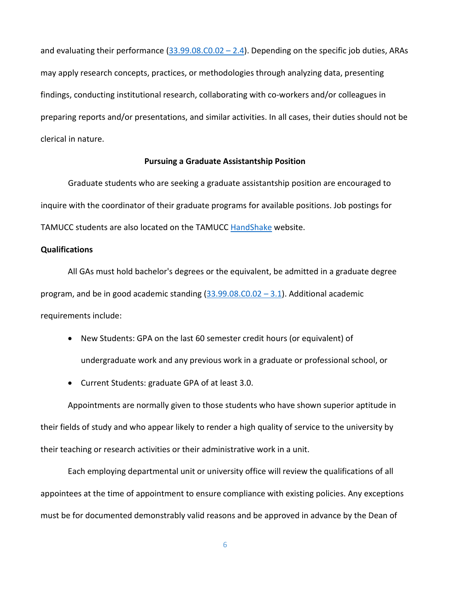and evaluating their performance  $(33.99.08.C0.02 - 2.4)$ . Depending on the specific job duties, ARAs may apply research concepts, practices, or methodologies through analyzing data, presenting findings, conducting institutional research, collaborating with co-workers and/or colleagues in preparing reports and/or presentations, and similar activities. In all cases, their duties should not be clerical in nature.

## **Pursuing a Graduate Assistantship Position**

<span id="page-5-0"></span>Graduate students who are seeking a graduate assistantship position are encouraged to inquire with the coordinator of their graduate programs for available positions. Job postings for TAMUCC students are also located on the TAMUCC [HandShake](https://app.joinhandshake.com/login) website.

## <span id="page-5-1"></span>**Qualifications**

All GAs must hold bachelor's degrees or the equivalent, be admitted in a graduate degree program, and be in good academic standing  $(33.99.08.C0.02 - 3.1)$  $(33.99.08.C0.02 - 3.1)$ . Additional academic requirements include:

- New Students: GPA on the last 60 semester credit hours (or equivalent) of undergraduate work and any previous work in a graduate or professional school, or
- Current Students: graduate GPA of at least 3.0.

Appointments are normally given to those students who have shown superior aptitude in their fields of study and who appear likely to render a high quality of service to the university by their teaching or research activities or their administrative work in a unit.

Each employing departmental unit or university office will review the qualifications of all appointees at the time of appointment to ensure compliance with existing policies. Any exceptions must be for documented demonstrably valid reasons and be approved in advance by the Dean of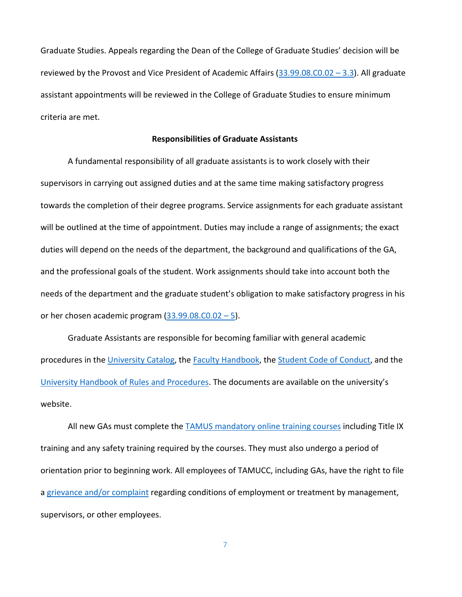Graduate Studies. Appeals regarding the Dean of the College of Graduate Studies' decision will be reviewed by the Provost and Vice President of Academic Affairs  $(33.99.08.C0.02 - 3.3)$  $(33.99.08.C0.02 - 3.3)$ . All graduate assistant appointments will be reviewed in the College of Graduate Studies to ensure minimum criteria are met.

## **Responsibilities of Graduate Assistants**

<span id="page-6-0"></span>A fundamental responsibility of all graduate assistants is to work closely with their supervisors in carrying out assigned duties and at the same time making satisfactory progress towards the completion of their degree programs. Service assignments for each graduate assistant will be outlined at the time of appointment. Duties may include a range of assignments; the exact duties will depend on the needs of the department, the background and qualifications of the GA, and the professional goals of the student. Work assignments should take into account both the needs of the department and the graduate student's obligation to make satisfactory progress in his or her chosen academic program  $(33.99.08.C0.02-5)$  $(33.99.08.C0.02-5)$ .

Graduate Assistants are responsible for becoming familiar with general academic procedures in th[e University](https://catalog.tamucc.edu/graduate/) Catalog, the [Faculty Handbook,](https://tamucc.edu/business/about/faculty-resources/faculty-handbook.php) the [Student Code of Conduct,](https://tamucc.edu/conduct-advocacy/conduct/codeofconduct.php) and the [University Handbook of Rules and Procedures.](https://www.tamucc.edu/governance/rules-procedures/index.php) The documents are available on the university's website.

All new GAs must complete the **TAMUS mandatory online training courses** including Title IX training and any safety training required by the courses. They must also undergo a period of orientation prior to beginning work. All employees of TAMUCC, including GAs, have the right to file a [grievance and/or complaint](https://www.tamucc.edu/president/compliance/edcs/complaints/compendium.php) regarding conditions of employment or treatment by management, supervisors, or other employees.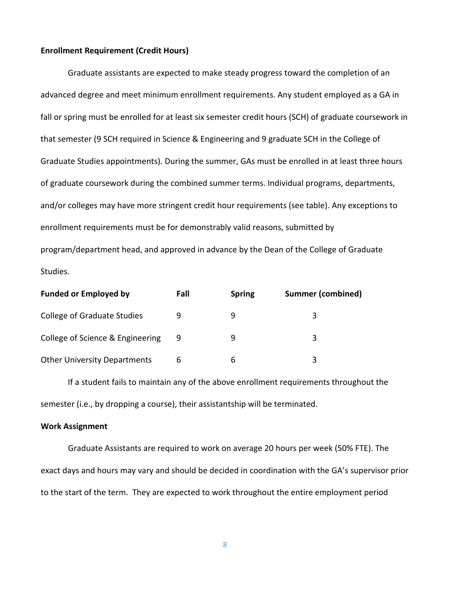## <span id="page-7-0"></span>**Enrollment Requirement (Credit Hours)**

Graduate assistants are expected to make steady progress toward the completion of an advanced degree and meet minimum enrollment requirements. Any student employed as a GA in fall or spring must be enrolled for at least six semester credit hours (SCH) of graduate coursework in that semester (9 SCH required in Science & Engineering and 9 graduate SCH in the College of Graduate Studies appointments). During the summer, GAs must be enrolled in at least three hours of graduate coursework during the combined summer terms. Individual programs, departments, and/or colleges may have more stringent credit hour requirements (see table). Any exceptions to enrollment requirements must be for demonstrably valid reasons, submitted by program/department head, and approved in advance by the Dean of the College of Graduate Studies.

| <b>Funded or Employed by</b>        | Fall | <b>Spring</b> | <b>Summer (combined)</b> |
|-------------------------------------|------|---------------|--------------------------|
| <b>College of Graduate Studies</b>  |      |               |                          |
| College of Science & Engineering    | 9    |               | 3                        |
| <b>Other University Departments</b> | 6    | ь             | 3                        |

If a student fails to maintain any of the above enrollment requirements throughout the semester (i.e., by dropping a course), their assistantship will be terminated.

#### <span id="page-7-1"></span>**Work Assignment**

Graduate Assistants are required to work on average 20 hours per week (50% FTE). The exact days and hours may vary and should be decided in coordination with the GA's supervisor prior to the start of the term. They are expected to work throughout the entire employment period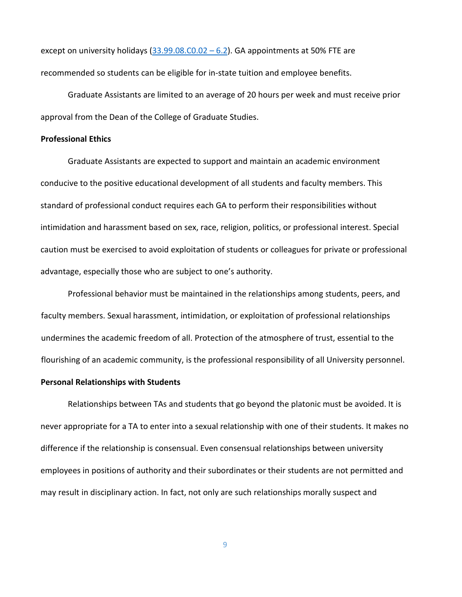except on university holidays  $(33.99.08.C0.02 - 6.2)$  $(33.99.08.C0.02 - 6.2)$ . GA appointments at 50% FTE are recommended so students can be eligible for in-state tuition and employee benefits.

Graduate Assistants are limited to an average of 20 hours per week and must receive prior approval from the Dean of the College of Graduate Studies.

## <span id="page-8-0"></span>**Professional Ethics**

Graduate Assistants are expected to support and maintain an academic environment conducive to the positive educational development of all students and faculty members. This standard of professional conduct requires each GA to perform their responsibilities without intimidation and harassment based on sex, race, religion, politics, or professional interest. Special caution must be exercised to avoid exploitation of students or colleagues for private or professional advantage, especially those who are subject to one's authority.

Professional behavior must be maintained in the relationships among students, peers, and faculty members. Sexual harassment, intimidation, or exploitation of professional relationships undermines the academic freedom of all. Protection of the atmosphere of trust, essential to the flourishing of an academic community, is the professional responsibility of all University personnel.

## <span id="page-8-1"></span>**Personal Relationships with Students**

Relationships between TAs and students that go beyond the platonic must be avoided. It is never appropriate for a TA to enter into a sexual relationship with one of their students. It makes no difference if the relationship is consensual. Even consensual relationships between university employees in positions of authority and their subordinates or their students are not permitted and may result in disciplinary action. In fact, not only are such relationships morally suspect and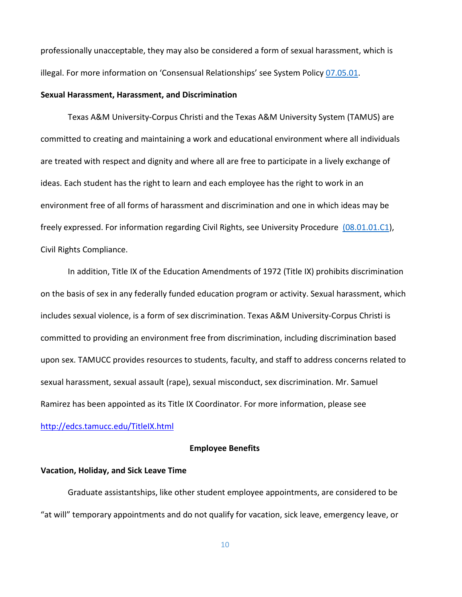professionally unacceptable, they may also be considered a form of sexual harassment, which is illegal. For more information on 'Consensual Relationships' see System Policy [07.05.01.](https://policies.tamus.edu/07-05-01.pdf)

#### <span id="page-9-0"></span>**Sexual Harassment, Harassment, and Discrimination**

Texas A&M University-Corpus Christi and the Texas A&M University System (TAMUS) are committed to creating and maintaining a work and educational environment where all individuals are treated with respect and dignity and where all are free to participate in a lively exchange of ideas. Each student has the right to learn and each employee has the right to work in an environment free of all forms of harassment and discrimination and one in which ideas may be freely expressed. For information regarding Civil Rights, see University Procedure [\(08.01.01.C1\)](https://www.tamucc.edu/governance/rules-procedures/assets/08.01.01.c1-civil-rights-compliance.pdf), Civil Rights Compliance.

In addition, Title IX of the Education Amendments of 1972 (Title IX) prohibits discrimination on the basis of sex in any federally funded education program or activity. Sexual harassment, which includes sexual violence, is a form of sex discrimination. Texas A&M University-Corpus Christi is committed to providing an environment free from discrimination, including discrimination based upon sex. TAMUCC provides resources to students, faculty, and staff to address concerns related to sexual harassment, sexual assault (rape), sexual misconduct, sex discrimination. Mr. Samuel Ramirez has been appointed as its Title IX Coordinator. For more information, please see [http://edcs.tamucc.edu/TitleIX.html](https://www.tamucc.edu/president/compliance/edcs/title-ix/index.php)

## **Employee Benefits**

## <span id="page-9-2"></span><span id="page-9-1"></span>**Vacation, Holiday, and Sick Leave Time**

Graduate assistantships, like other student employee appointments, are considered to be "at will" temporary appointments and do not qualify for vacation, sick leave, emergency leave, or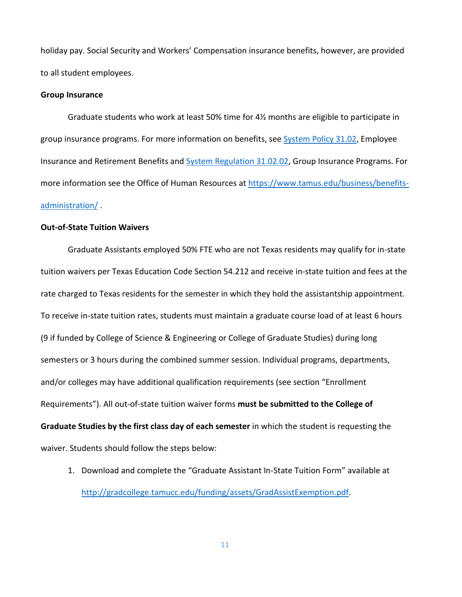holiday pay. Social Security and Workers' Compensation insurance benefits, however, are provided to all student employees.

#### <span id="page-10-0"></span>**Group Insurance**

Graduate students who work at least 50% time for 4½ months are eligible to participate in group insurance programs. For more information on benefits, see [System Policy 31.02,](https://policies.tamus.edu/31-02.pdf) Employee Insurance and Retirement Benefits and [System Regulation 31.02.02,](https://policies.tamus.edu/31-02-02.pdf) Group Insurance Programs. For more information see the Office of Human Resources at [https://www.tamus.edu/business/benefits](https://www.tamus.edu/business/benefits-administration/)[administration/](https://www.tamus.edu/business/benefits-administration/) [.](about:blank)

## <span id="page-10-1"></span>**Out-of-State Tuition Waivers**

Graduate Assistants employed 50% FTE who are not Texas residents may qualify for in-state tuition waivers per Texas Education Code Section 54.212 and receive in-state tuition and fees at the rate charged to Texas residents for the semester in which they hold the assistantship appointment. To receive in-state tuition rates, students must maintain a graduate course load of at least 6 hours (9 if funded by College of Science & Engineering or College of Graduate Studies) during long semesters or 3 hours during the combined summer session. Individual programs, departments, and/or colleges may have additional qualification requirements (see section "Enrollment Requirements"). All out-of-state tuition waiver forms **must be submitted to the College of Graduate Studies by the first class day of each semester** in which the student is requesting the waiver. Students should follow the steps below:

1. Download and complete the "Graduate Assistant In-State Tuition Form" available at [http://gradcollege.tamucc.edu/funding/assets/GradAssistExemption.pdf](https://www.tamucc.edu/grad-college/funding/assets/documents/grad-assist-exemption.pdf)[.](about:blank)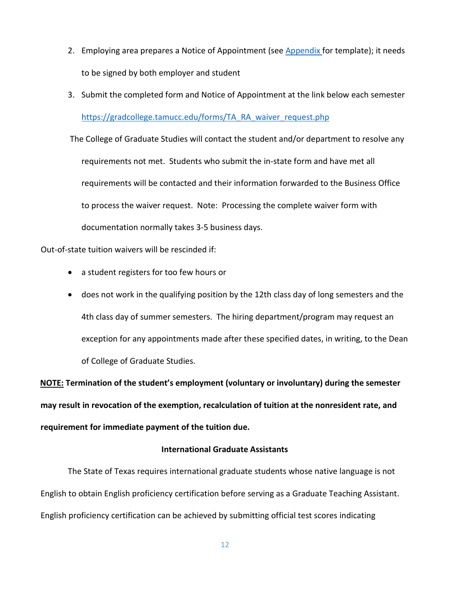- 2. Employing area prepares a Notice of Appointment (see [Appendix f](#page-21-0)or template); it needs to be signed by both employer and student
- 3. Submit the completed form and Notice of Appointment at the link below each semester [https://gradcollege.tamucc.edu/forms/TA\\_RA\\_waiver\\_request.php](https://www.tamucc.edu/grad-college/forms/ta-ra-waiver-request.php)

The College of Graduate Studies will contact the student and/or department to resolve any requirements not met. Students who submit the in-state form and have met all requirements will be contacted and their information forwarded to the Business Office to process the waiver request. Note: Processing the complete waiver form with documentation normally takes 3-5 business days.

Out-of-state tuition waivers will be rescinded if:

- a student registers for too few hours or
- does not work in the qualifying position by the 12th class day of long semesters and the 4th class day of summer semesters. The hiring department/program may request an exception for any appointments made after these specified dates, in writing, to the Dean of College of Graduate Studies.

**NOTE: Termination of the student's employment (voluntary or involuntary) during the semester may result in revocation of the exemption, recalculation of tuition at the nonresident rate, and requirement for immediate payment of the tuition due.**

## **International Graduate Assistants**

<span id="page-11-0"></span>The State of Texas requires international graduate students whose native language is not English to obtain English proficiency certification before serving as a Graduate Teaching Assistant. English proficiency certification can be achieved by submitting official test scores indicating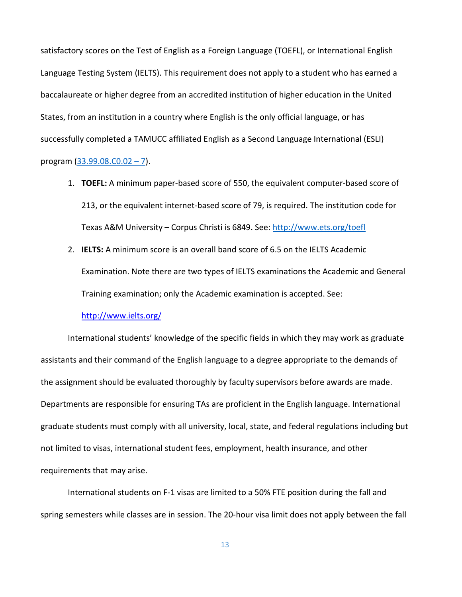satisfactory scores on the Test of English as a Foreign Language (TOEFL), or International English Language Testing System (IELTS). This requirement does not apply to a student who has earned a baccalaureate or higher degree from an accredited institution of higher education in the United States, from an institution in a country where English is the only official language, or has successfully completed a TAMUCC affiliated English as a Second Language International (ESLI) program [\(33.99.08.C0.02 –](https://www.tamucc.edu/governance/rules-procedures/assets/33.99.08.c0.02-graduate-assistants.pdf) 7).

- 1. **TOEFL:** A minimum paper-based score of 550, the equivalent computer-based score of 213, or the equivalent internet-based score of 79, is required. The institution code for Texas A&M University – Corpus Christi is 6849. See: [http://www.ets.org/toefl](https://www.ets.org/toefl)
- 2. **IELTS:** A minimum score is an overall band score of 6.5 on the IELTS Academic Examination. Note there are two types of IELTS examinations the Academic and General Training examination; only the Academic examination is accepted. See:

## [http://www.ielts.org/](https://www.ielts.org/)

International students' knowledge of the specific fields in which they may work as graduate assistants and their command of the English language to a degree appropriate to the demands of the assignment should be evaluated thoroughly by faculty supervisors before awards are made. Departments are responsible for ensuring TAs are proficient in the English language. International graduate students must comply with all university, local, state, and federal regulations including but not limited to visas, international student fees, employment, health insurance, and other requirements that may arise.

International students on F-1 visas are limited to a 50% FTE position during the fall and spring semesters while classes are in session. The 20-hour visa limit does not apply between the fall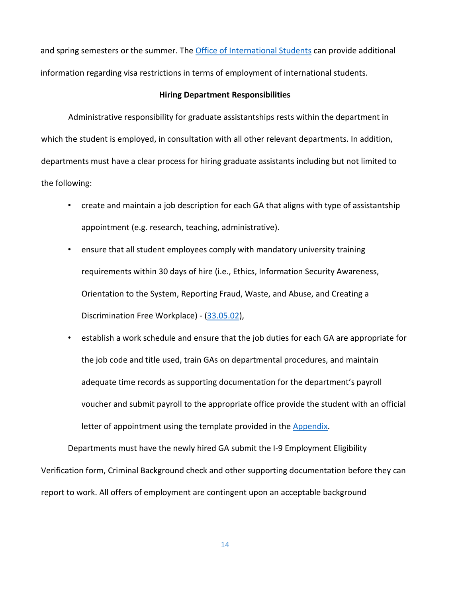and spring semesters or the summer. The Office of [International Students](https://tamucc.edu/grad-college/new-students/international-students.php) can provide additional information regarding visa restrictions in terms of employment of international students.

## **Hiring Department Responsibilities**

<span id="page-13-0"></span>Administrative responsibility for graduate assistantships rests within the department in which the student is employed, in consultation with all other relevant departments. In addition, departments must have a clear process for hiring graduate assistants including but not limited to the following:

- create and maintain a job description for each GA that aligns with type of assistantship appointment (e.g. research, teaching, administrative).
- ensure that all student employees comply with mandatory university training requirements within 30 days of hire (i.e., Ethics, Information Security Awareness, Orientation to the System, Reporting Fraud, Waste, and Abuse, and Creating a Discrimination Free Workplace) - [\(33.05.02\)](https://policies.tamus.edu/33-05-02.pdf),
- establish a work schedule and ensure that the job duties for each GA are appropriate for the job code and title used, train GAs on departmental procedures, and maintain adequate time records as supporting documentation for the department's payroll voucher and submit payroll to the appropriate office provide the student with an official letter of appointment using the template provided in the **Appendix**.

Departments must have the newly hired GA submit the I-9 Employment Eligibility Verification form, Criminal Background check and other supporting documentation before they can report to work. All offers of employment are contingent upon an acceptable background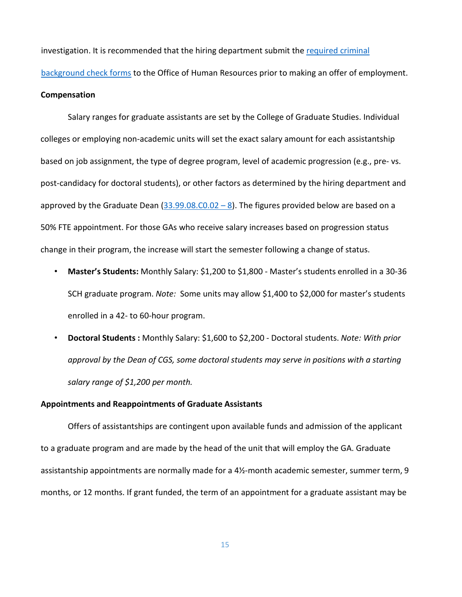investigation. It is recommended that the hiring department submit the [required criminal](https://tamucc.edu/human-resources/forms/assets/documents/background-check.pdf) 

[background check forms](https://tamucc.edu/human-resources/forms/assets/documents/background-check.pdf) [t](about:blank)o the Office of Human Resources prior to making an offer of employment.

## <span id="page-14-0"></span>**Compensation**

Salary ranges for graduate assistants are set by the College of Graduate Studies. Individual colleges or employing non-academic units will set the exact salary amount for each assistantship based on job assignment, the type of degree program, level of academic progression (e.g., pre- vs. post-candidacy for doctoral students), or other factors as determined by the hiring department and approved by the Graduate Dean  $(33.99.08.C0.02 - 8)$ . The figures provided below are based on a 50% FTE appointment. For those GAs who receive salary increases based on progression status change in their program, the increase will start the semester following a change of status.

- **Master's Students:** Monthly Salary: \$1,200 to \$1,800 Master's students enrolled in a 30-36 SCH graduate program. *Note:* Some units may allow \$1,400 to \$2,000 for master's students enrolled in a 42- to 60-hour program.
- **Doctoral Students :** Monthly Salary: \$1,600 to \$2,200 Doctoral students. *Note: With prior approval by the Dean of CGS, some doctoral students may serve in positions with a starting salary range of \$1,200 per month.*

#### <span id="page-14-1"></span>**Appointments and Reappointments of Graduate Assistants**

Offers of assistantships are contingent upon available funds and admission of the applicant to a graduate program and are made by the head of the unit that will employ the GA. Graduate assistantship appointments are normally made for a 4½-month academic semester, summer term, 9 months, or 12 months. If grant funded, the term of an appointment for a graduate assistant may be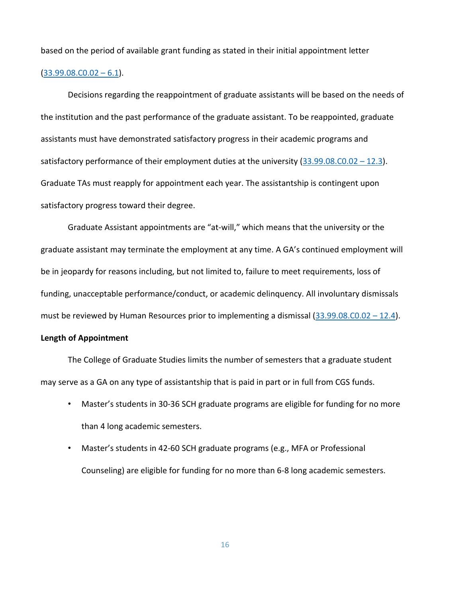based on the period of available grant funding as stated in their initial appointment letter

#### $(33.99.08.C0.02 - 6.1).$  $(33.99.08.C0.02 - 6.1).$

Decisions regarding the reappointment of graduate assistants will be based on the needs of the institution and the past performance of the graduate assistant. To be reappointed, graduate assistants must have demonstrated satisfactory progress in their academic programs and satisfactory performance of their employment duties at the university  $(33.99.08.C0.02 - 12.3)$  $(33.99.08.C0.02 - 12.3)$ . Graduate TAs must reapply for appointment each year. The assistantship is contingent upon satisfactory progress toward their degree.

Graduate Assistant appointments are "at-will," which means that the university or the graduate assistant may terminate the employment at any time. A GA's continued employment will be in jeopardy for reasons including, but not limited to, failure to meet requirements, loss of funding, unacceptable performance/conduct, or academic delinquency. All involuntary dismissals must be reviewed by Human Resources prior to implementing a dismissal  $(33.99.08.C0.02 - 12.4)$  $(33.99.08.C0.02 - 12.4)$ .

#### <span id="page-15-0"></span>**Length of Appointment**

The College of Graduate Studies limits the number of semesters that a graduate student may serve as a GA on any type of assistantship that is paid in part or in full from CGS funds.

- Master's students in 30-36 SCH graduate programs are eligible for funding for no more than 4 long academic semesters.
- Master's students in 42-60 SCH graduate programs (e.g., MFA or Professional Counseling) are eligible for funding for no more than 6-8 long academic semesters.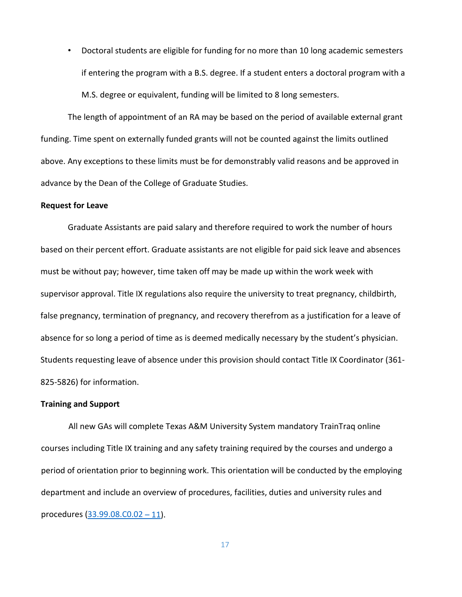• Doctoral students are eligible for funding for no more than 10 long academic semesters if entering the program with a B.S. degree. If a student enters a doctoral program with a M.S. degree or equivalent, funding will be limited to 8 long semesters.

The length of appointment of an RA may be based on the period of available external grant funding. Time spent on externally funded grants will not be counted against the limits outlined above. Any exceptions to these limits must be for demonstrably valid reasons and be approved in advance by the Dean of the College of Graduate Studies.

#### <span id="page-16-0"></span>**Request for Leave**

Graduate Assistants are paid salary and therefore required to work the number of hours based on their percent effort. Graduate assistants are not eligible for paid sick leave and absences must be without pay; however, time taken off may be made up within the work week with supervisor approval. Title IX regulations also require the university to treat pregnancy, childbirth, false pregnancy, termination of pregnancy, and recovery therefrom as a justification for a leave of absence for so long a period of time as is deemed medically necessary by the student's physician. Students requesting leave of absence under this provision should contact Title IX Coordinator (361- 825-5826) for information.

#### <span id="page-16-1"></span>**Training and Support**

All new GAs will complete Texas A&M University System mandatory TrainTraq online courses including Title IX training and any safety training required by the courses and undergo a period of orientation prior to beginning work. This orientation will be conducted by the employing department and include an overview of procedures, facilities, duties and university rules and procedures [\(33.99.08.C0.02](https://www.tamucc.edu/governance/rules-procedures/assets/33.99.08.c0.02-graduate-assistants.pdf) – 11).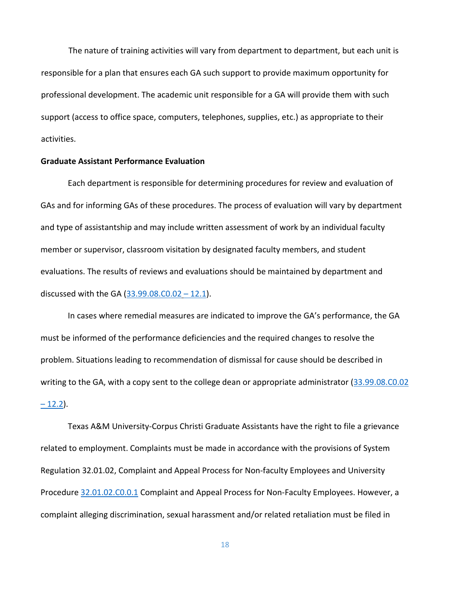The nature of training activities will vary from department to department, but each unit is responsible for a plan that ensures each GA such support to provide maximum opportunity for professional development. The academic unit responsible for a GA will provide them with such support (access to office space, computers, telephones, supplies, etc.) as appropriate to their activities.

## <span id="page-17-0"></span>**Graduate Assistant Performance Evaluation**

Each department is responsible for determining procedures for review and evaluation of GAs and for informing GAs of these procedures. The process of evaluation will vary by department and type of assistantship and may include written assessment of work by an individual faculty member or supervisor, classroom visitation by designated faculty members, and student evaluations. The results of reviews and evaluations should be maintained by department and discussed with the GA  $(33.99.08.C0.02 - 12.1)$  $(33.99.08.C0.02 - 12.1)$ .

In cases where remedial measures are indicated to improve the GA's performance, the GA must be informed of the performance deficiencies and the required changes to resolve the problem. Situations leading to recommendation of dismissal for cause should be described in writing to the GA, with a copy sent to the college dean or appropriate administrator [\(33.99.08.C0.02](https://www.tamucc.edu/governance/rules-procedures/assets/33.99.08.c0.02-graduate-assistants.pdf)  $-12.2$ ).

Texas A&M University-Corpus Christi Graduate Assistants have the right to file a grievance related to employment. Complaints must be made in accordance with the provisions of System Regulation 32.01.02, Complaint and Appeal Process for Non-faculty Employees and University Procedure [32.01.02.C0.0.1](https://www.tamucc.edu/governance/rules-procedures/assets/32.01.02.c0.01-complaint-and-appeal-process-for-non-faculty-employees.pdf) Complaint and Appeal Process for Non-Faculty Employees. However, a complaint alleging discrimination, sexual harassment and/or related retaliation must be filed in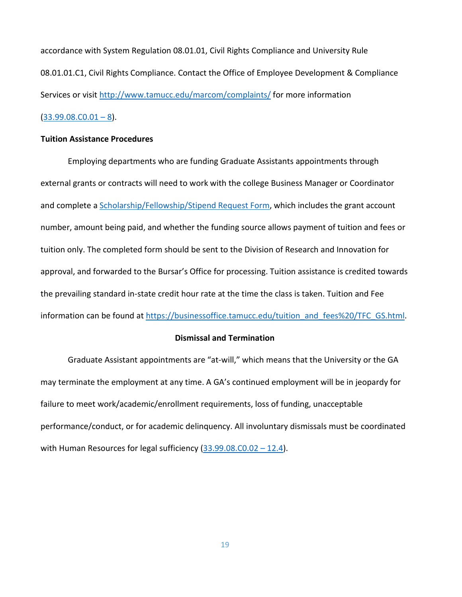accordance with System Regulation 08.01.01, Civil Rights Compliance and University Rule 08.01.01.C1, Civil Rights Compliance. Contact the Office of Employee Development & Compliance Services or visit [http://www.tamucc.edu/marcom/complaints/](https://secure.ethicspoint.com/domain/media/en/gui/19681/index.html) for more information  $(33.99.08.C0.01 - 8)$  $(33.99.08.C0.01 - 8)$ .

# <span id="page-18-0"></span>**Tuition Assistance Procedures**

Employing departments who are funding Graduate Assistants appointments through external grants or contracts will need to work with the college Business Manager or Coordinator and complete a [Scholarship/Fellowship/Stipend Request Form,](https://www.tamucc.edu/finance-and-administration/financial-services/accounting/assets/documents/scholarship-stipend-tuition-payment-request-form-instructions.pdf) which includes the grant account number, amount being paid, and whether the funding source allows payment of tuition and fees or tuition only. The completed form should be sent to the Division of Research and Innovation for approval, and forwarded to the Bursar's Office for processing. Tuition assistance is credited towards the prevailing standard in-state credit hour rate at the time the class is taken. Tuition and Fee information can be found at [https://businessoffice.tamucc.edu/tuition\\_and\\_fees%20/TFC\\_GS.html.](https://www.tamucc.edu/finance-and-administration/financial-services/business-office/tuition-and-fees/charts-tuition-fees/index.php)

#### **Dismissal and Termination**

<span id="page-18-1"></span>Graduate Assistant appointments are "at-will," which means that the University or the GA may terminate the employment at any time. A GA's continued employment will be in jeopardy for failure to meet work/academic/enrollment requirements, loss of funding, unacceptable performance/conduct, or for academic delinquency. All involuntary dismissals must be coordinated with Human Resources for legal sufficiency  $(33.99.08.C0.02 - 12.4)$  $(33.99.08.C0.02 - 12.4)$ .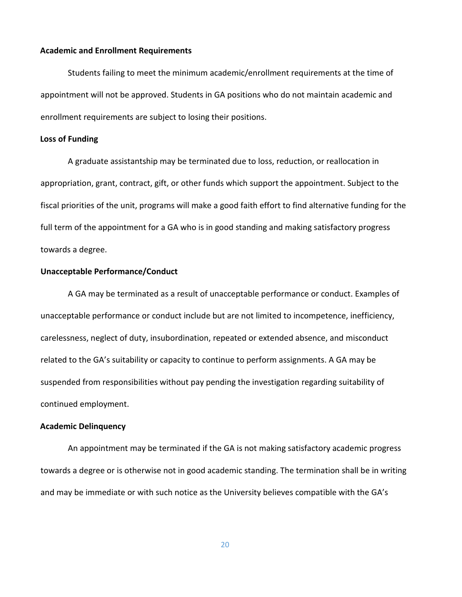## **Academic and Enrollment Requirements**

Students failing to meet the minimum academic/enrollment requirements at the time of appointment will not be approved. Students in GA positions who do not maintain academic and enrollment requirements are subject to losing their positions.

#### **Loss of Funding**

A graduate assistantship may be terminated due to loss, reduction, or reallocation in appropriation, grant, contract, gift, or other funds which support the appointment. Subject to the fiscal priorities of the unit, programs will make a good faith effort to find alternative funding for the full term of the appointment for a GA who is in good standing and making satisfactory progress towards a degree.

## **Unacceptable Performance/Conduct**

A GA may be terminated as a result of unacceptable performance or conduct. Examples of unacceptable performance or conduct include but are not limited to incompetence, inefficiency, carelessness, neglect of duty, insubordination, repeated or extended absence, and misconduct related to the GA's suitability or capacity to continue to perform assignments. A GA may be suspended from responsibilities without pay pending the investigation regarding suitability of continued employment.

#### **Academic Delinquency**

An appointment may be terminated if the GA is not making satisfactory academic progress towards a degree or is otherwise not in good academic standing. The termination shall be in writing and may be immediate or with such notice as the University believes compatible with the GA's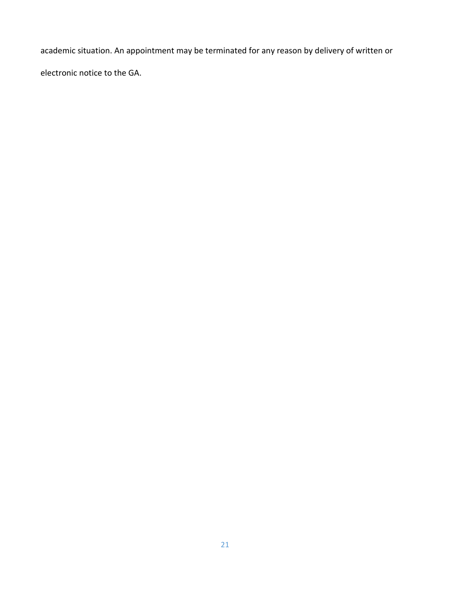academic situation. An appointment may be terminated for any reason by delivery of written or electronic notice to the GA.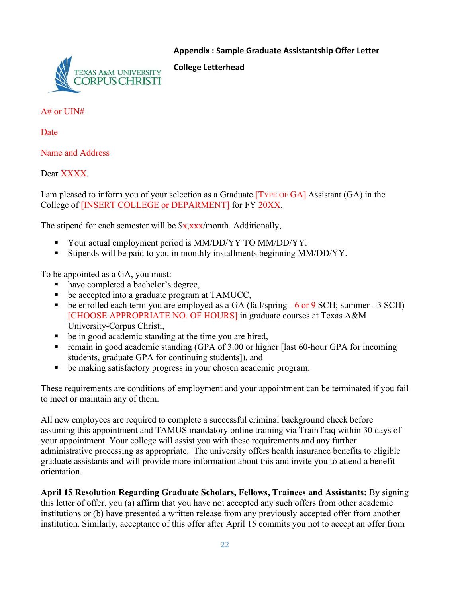# <span id="page-21-0"></span>**Appendix : Sample Graduate Assistantship Offer Letter**



**College Letterhead** 

A# or UIN#

Date

Name and Address

Dear XXXX.

I am pleased to inform you of your selection as a Graduate [TYPE OF GA] Assistant (GA) in the College of [INSERT COLLEGE or DEPARMENT] for FY 20XX.

The stipend for each semester will be  $x,xxx/m$  onth. Additionally,

- Your actual employment period is MM/DD/YY TO MM/DD/YY.
- Stipends will be paid to you in monthly installments beginning MM/DD/YY.

To be appointed as a GA, you must:

- have completed a bachelor's degree,
- $\blacksquare$  be accepted into a graduate program at TAMUCC,
- $\bullet$  be enrolled each term you are employed as a GA (fall/spring  $\text{-} 6$  or 9 SCH; summer  $\text{-} 3$  SCH) [CHOOSE APPROPRIATE NO. OF HOURS] in graduate courses at Texas A&M University-Corpus Christi,
- be in good academic standing at the time you are hired,
- remain in good academic standing (GPA of 3.00 or higher [last 60-hour GPA for incoming students, graduate GPA for continuing students]), and
- be making satisfactory progress in your chosen academic program.

These requirements are conditions of employment and your appointment can be terminated if you fail to meet or maintain any of them.

All new employees are required to complete a successful criminal background check before assuming this appointment and TAMUS mandatory online training via TrainTraq within 30 days of your appointment. Your college will assist you with these requirements and any further administrative processing as appropriate. The university offers health insurance benefits to eligible graduate assistants and will provide more information about this and invite you to attend a benefit orientation.

**April 15 Resolution Regarding Graduate Scholars, Fellows, Trainees and Assistants:** By signing this letter of offer, you (a) affirm that you have not accepted any such offers from other academic institutions or (b) have presented a written release from any previously accepted offer from another institution. Similarly, acceptance of this offer after April 15 commits you not to accept an offer from